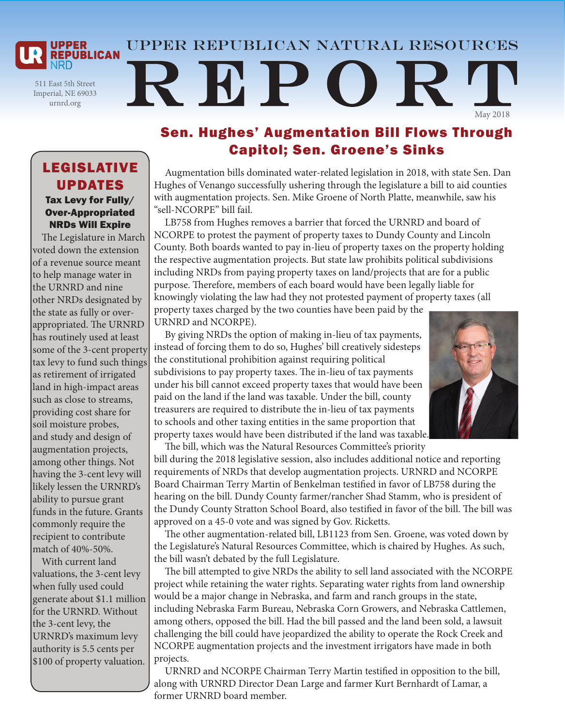Upper Republican natural resources

511 East 5th Street Imperial, NE 69033 urnrd.org

**UPPER REPUBLICAN** 

# REPO May 2018

### Tax Levy for Fully/ Over-Appropriated LEGISLATIVE UPDATES

NRDs Will Expire The Legislature in March voted down the extension of a revenue source meant to help manage water in the URNRD and nine other NRDs designated by the state as fully or overappropriated. The URNRD has routinely used at least some of the 3-cent property tax levy to fund such things as retirement of irrigated land in high-impact areas such as close to streams, providing cost share for soil moisture probes, and study and design of augmentation projects, among other things. Not having the 3-cent levy will likely lessen the URNRD's ability to pursue grant funds in the future. Grants commonly require the recipient to contribute match of 40%-50%.

With current land valuations, the 3-cent levy when fully used could generate about \$1.1 million for the URNRD. Without the 3-cent levy, the URNRD's maximum levy authority is 5.5 cents per \$100 of property valuation.

# Sen. Hughes' Augmentation Bill Flows Through Capitol; Sen. Groene's Sinks

Augmentation bills dominated water-related legislation in 2018, with state Sen. Dan Hughes of Venango successfully ushering through the legislature a bill to aid counties with augmentation projects. Sen. Mike Groene of North Platte, meanwhile, saw his "sell-NCORPE" bill fail.

LB758 from Hughes removes a barrier that forced the URNRD and board of NCORPE to protest the payment of property taxes to Dundy County and Lincoln County. Both boards wanted to pay in-lieu of property taxes on the property holding the respective augmentation projects. But state law prohibits political subdivisions including NRDs from paying property taxes on land/projects that are for a public purpose. Therefore, members of each board would have been legally liable for knowingly violating the law had they not protested payment of property taxes (all property taxes charged by the two counties have been paid by the

URNRD and NCORPE).

By giving NRDs the option of making in-lieu of tax payments, instead of forcing them to do so, Hughes' bill creatively sidesteps the constitutional prohibition against requiring political subdivisions to pay property taxes. The in-lieu of tax payments under his bill cannot exceed property taxes that would have been paid on the land if the land was taxable. Under the bill, county treasurers are required to distribute the in-lieu of tax payments to schools and other taxing entities in the same proportion that property taxes would have been distributed if the land was taxable.



The bill, which was the Natural Resources Committee's priority bill during the 2018 legislative session, also includes additional notice and reporting requirements of NRDs that develop augmentation projects. URNRD and NCORPE Board Chairman Terry Martin of Benkelman testified in favor of LB758 during the hearing on the bill. Dundy County farmer/rancher Shad Stamm, who is president of the Dundy County Stratton School Board, also testified in favor of the bill. The bill was approved on a 45-0 vote and was signed by Gov. Ricketts.

The other augmentation-related bill, LB1123 from Sen. Groene, was voted down by the Legislature's Natural Resources Committee, which is chaired by Hughes. As such, the bill wasn't debated by the full Legislature.

The bill attempted to give NRDs the ability to sell land associated with the NCORPE project while retaining the water rights. Separating water rights from land ownership would be a major change in Nebraska, and farm and ranch groups in the state, including Nebraska Farm Bureau, Nebraska Corn Growers, and Nebraska Cattlemen, among others, opposed the bill. Had the bill passed and the land been sold, a lawsuit challenging the bill could have jeopardized the ability to operate the Rock Creek and NCORPE augmentation projects and the investment irrigators have made in both projects.

URNRD and NCORPE Chairman Terry Martin testified in opposition to the bill, along with URNRD Director Dean Large and farmer Kurt Bernhardt of Lamar, a former URNRD board member.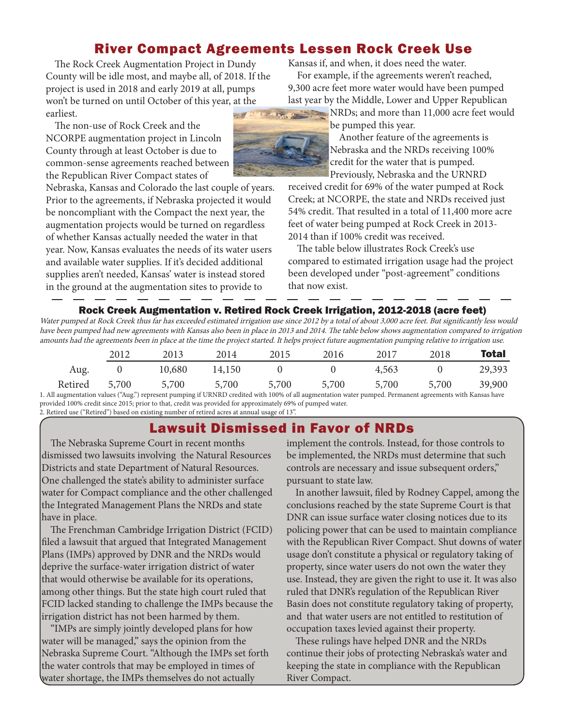## River Compact Agreements Lessen Rock Creek Use

The Rock Creek Augmentation Project in Dundy County will be idle most, and maybe all, of 2018. If the project is used in 2018 and early 2019 at all, pumps won't be turned on until October of this year, at the earliest.

The non-use of Rock Creek and the NCORPE augmentation project in Lincoln County through at least October is due to common-sense agreements reached between the Republican River Compact states of

Nebraska, Kansas and Colorado the last couple of years. Prior to the agreements, if Nebraska projected it would be noncompliant with the Compact the next year, the augmentation projects would be turned on regardless of whether Kansas actually needed the water in that year. Now, Kansas evaluates the needs of its water users and available water supplies. If it's decided additional supplies aren't needed, Kansas' water is instead stored in the ground at the augmentation sites to provide to

Kansas if, and when, it does need the water. For example, if the agreements weren't reached, 9,300 acre feet more water would have been pumped last year by the Middle, Lower and Upper Republican NRDs; and more than 11,000 acre feet would

be pumped this year.



Another feature of the agreements is Nebraska and the NRDs receiving 100% credit for the water that is pumped. Previously, Nebraska and the URNRD

received credit for 69% of the water pumped at Rock Creek; at NCORPE, the state and NRDs received just 54% credit. That resulted in a total of 11,400 more acre feet of water being pumped at Rock Creek in 2013- 2014 than if 100% credit was received.

The table below illustrates Rock Creek's use compared to estimated irrigation usage had the project been developed under "post-agreement" conditions that now exist.

#### Rock Creek Augmentation v. Retired Rock Creek Irrigation, 2012-2018 (acre feet)

Water pumped at Rock Creek thus far has exceeded estimated irrigation use since 2012 by a total of about 3,000 acre feet. But significantly less would have been pumped had new agreements with Kansas also been in place in 2013 and 2014. The table below shows augmentation compared to irrigation amounts had the agreements been in place at the time the project started. It helps project future augmentation pumping relative to irrigation use.

|         | 2012                                        | 2013   | 2014                                                    | 2015  | 2016  | 2017         | 2018  | Total  |
|---------|---------------------------------------------|--------|---------------------------------------------------------|-------|-------|--------------|-------|--------|
| Aug.    |                                             | 10,680 | 14,150                                                  |       |       | 4,563        |       | 29,393 |
| Retired | 5,700<br>$\sim$ $\sim$ $\sim$ $\sim$ $\sim$ | 5,700  | 5,700<br>$\cdot$ $\alpha$ = = = $\cdot$ = = = = $\cdot$ | 5,700 | 5,700 | 5,700<br>$-$ | 5,700 | 39,900 |

1. All augmentation values ("Aug.") represent pumping if URNRD credited with 100% of all augmentation water pumped. Permanent agreements with Kansas have provided 100% credit since 2015; prior to that, credit was provided for approximately 69% of pumped water. 2. Retired use ("Retired") based on existing number of retired acres at annual usage of 13".

# Lawsuit Dismissed in Favor of NRDs

The Nebraska Supreme Court in recent months dismissed two lawsuits involving the Natural Resources Districts and state Department of Natural Resources. One challenged the state's ability to administer surface water for Compact compliance and the other challenged the Integrated Management Plans the NRDs and state have in place.

The Frenchman Cambridge Irrigation District (FCID) filed a lawsuit that argued that Integrated Management Plans (IMPs) approved by DNR and the NRDs would deprive the surface-water irrigation district of water that would otherwise be available for its operations, among other things. But the state high court ruled that FCID lacked standing to challenge the IMPs because the irrigation district has not been harmed by them.

"IMPs are simply jointly developed plans for how water will be managed," says the opinion from the Nebraska Supreme Court. "Although the IMPs set forth the water controls that may be employed in times of water shortage, the IMPs themselves do not actually

implement the controls. Instead, for those controls to be implemented, the NRDs must determine that such controls are necessary and issue subsequent orders," pursuant to state law.

In another lawsuit, filed by Rodney Cappel, among the conclusions reached by the state Supreme Court is that DNR can issue surface water closing notices due to its policing power that can be used to maintain compliance with the Republican River Compact. Shut downs of water usage don't constitute a physical or regulatory taking of property, since water users do not own the water they use. Instead, they are given the right to use it. It was also ruled that DNR's regulation of the Republican River Basin does not constitute regulatory taking of property, and that water users are not entitled to restitution of occupation taxes levied against their property.

These rulings have helped DNR and the NRDs continue their jobs of protecting Nebraska's water and keeping the state in compliance with the Republican River Compact.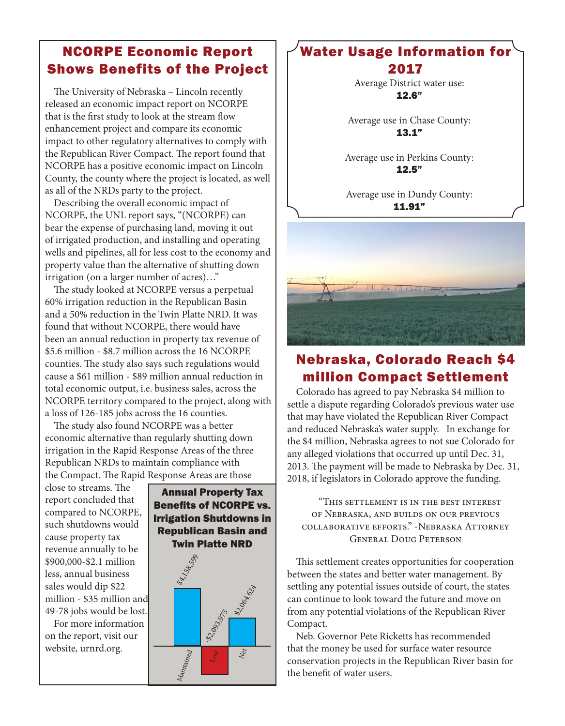# NCORPE Economic Report Shows Benefits of the Project

The University of Nebraska – Lincoln recently released an economic impact report on NCORPE that is the first study to look at the stream flow enhancement project and compare its economic impact to other regulatory alternatives to comply with the Republican River Compact. The report found that NCORPE has a positive economic impact on Lincoln County, the county where the project is located, as well as all of the NRDs party to the project.

Describing the overall economic impact of NCORPE, the UNL report says, "(NCORPE) can bear the expense of purchasing land, moving it out of irrigated production, and installing and operating wells and pipelines, all for less cost to the economy and property value than the alternative of shutting down irrigation (on a larger number of acres)…"

The study looked at NCORPE versus a perpetual 60% irrigation reduction in the Republican Basin and a 50% reduction in the Twin Platte NRD. It was found that without NCORPE, there would have been an annual reduction in property tax revenue of \$5.6 million - \$8.7 million across the 16 NCORPE counties. The study also says such regulations would cause a \$61 million - \$89 million annual reduction in total economic output, i.e. business sales, across the NCORPE territory compared to the project, along with a loss of 126-185 jobs across the 16 counties.

The study also found NCORPE was a better economic alternative than regularly shutting down irrigation in the Rapid Response Areas of the three Republican NRDs to maintain compliance with the Compact. The Rapid Response Areas are those

close to streams. The report concluded that compared to NCORPE, such shutdowns would cause property tax revenue annually to be \$900,000-\$2.1 million less, annual business sales would dip \$22 million - \$35 million and 49-78 jobs would be lost.

For more information on the report, visit our website, urnrd.org.



#### Water Usage Information for 2017

Average District water use: 12.6"

Average use in Chase County: 13.1"

Average use in Perkins County: 12.5"

Average use in Dundy County: 11.91"



# Nebraska, Colorado Reach \$4 million Compact Settlement

Colorado has agreed to pay Nebraska \$4 million to settle a dispute regarding Colorado's previous water use that may have violated the Republican River Compact and reduced Nebraska's water supply. In exchange for the \$4 million, Nebraska agrees to not sue Colorado for any alleged violations that occurred up until Dec. 31, 2013. The payment will be made to Nebraska by Dec. 31, 2018, if legislators in Colorado approve the funding.

"This settlement is in the best interest of Nebraska, and builds on our previous collaborative efforts." -Nebraska Attorney General Doug Peterson

This settlement creates opportunities for cooperation between the states and better water management. By settling any potential issues outside of court, the states can continue to look toward the future and move on from any potential violations of the Republican River Compact.

Neb. Governor Pete Ricketts has recommended that the money be used for surface water resource conservation projects in the Republican River basin for the benefit of water users.